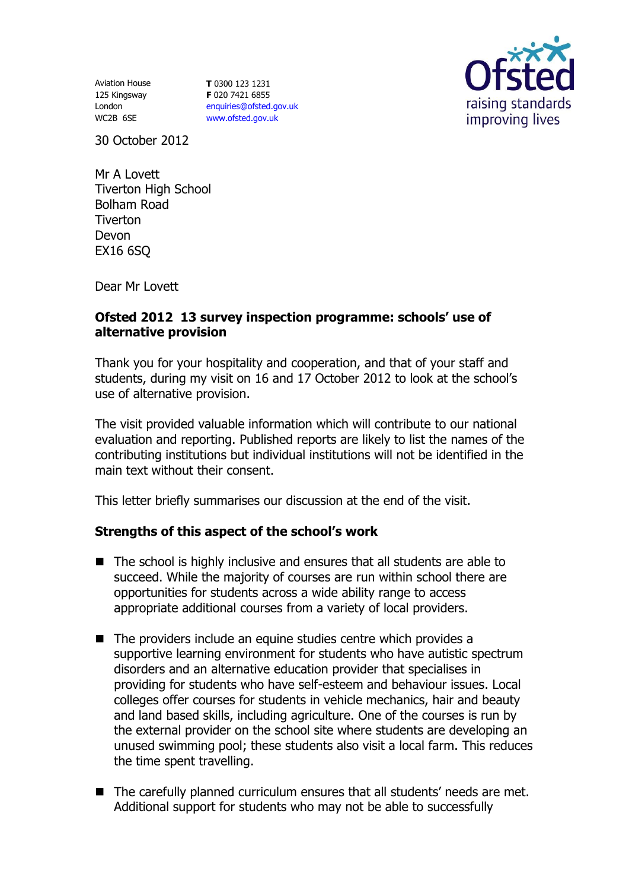Aviation House 125 Kingsway London WC2B 6SE

**T** 0300 123 1231 **F** 020 7421 6855 [enquiries@ofsted.gov.uk](mailto:enquiries@ofsted.gov.uk) [www.ofsted.gov.uk](http://www.ofsted.gov.uk/)



30 October 2012

Mr A Lovett Tiverton High School Bolham Road **Tiverton** Devon EX16 6SQ

Dear Mr Lovett

## **Ofsted 2012 13 survey inspection programme: schools' use of alternative provision**

Thank you for your hospitality and cooperation, and that of your staff and students, during my visit on 16 and 17 October 2012 to look at the school's use of alternative provision.

The visit provided valuable information which will contribute to our national evaluation and reporting. Published reports are likely to list the names of the contributing institutions but individual institutions will not be identified in the main text without their consent.

This letter briefly summarises our discussion at the end of the visit.

## **Strengths of this aspect of the school's work**

- The school is highly inclusive and ensures that all students are able to succeed. While the majority of courses are run within school there are opportunities for students across a wide ability range to access appropriate additional courses from a variety of local providers.
- $\blacksquare$  The providers include an equine studies centre which provides a supportive learning environment for students who have autistic spectrum disorders and an alternative education provider that specialises in providing for students who have self-esteem and behaviour issues. Local colleges offer courses for students in vehicle mechanics, hair and beauty and land based skills, including agriculture. One of the courses is run by the external provider on the school site where students are developing an unused swimming pool; these students also visit a local farm. This reduces the time spent travelling.
- The carefully planned curriculum ensures that all students' needs are met. Additional support for students who may not be able to successfully